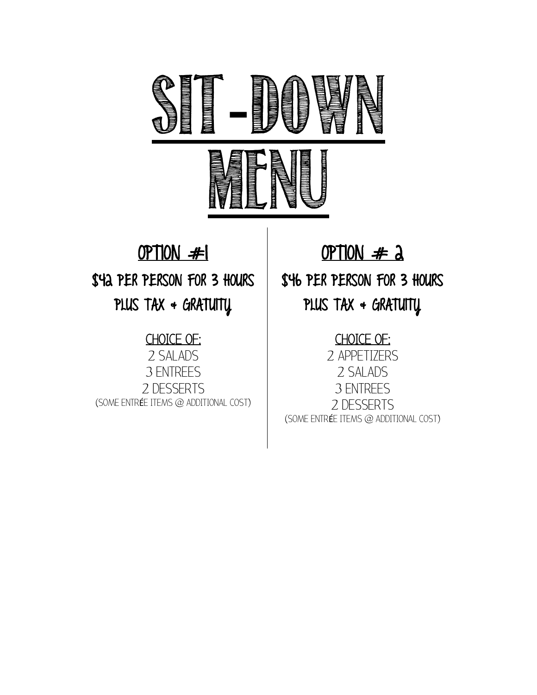

# OPTION #1

\$42 PER PERSON FOR 3 HOURS

PLUS TAX + GRATUITY

## CHOICE OF:

2 SALADS 3 ENTREES 2 DESSERTS (SOME ENTRÉE ITEMS @ ADDITIONAL COST)

# OPTION  $#$  2

\$46 PER PERSON FOR 3 HOURS PLUS TAX  $\triangleleft$  GRATUITY

## CHOICE OF:

2 APPETIZERS 2 SALADS 3 ENTREES 2 DESSERTS (SOME ENTRÉE ITEMS @ ADDITIONAL COST)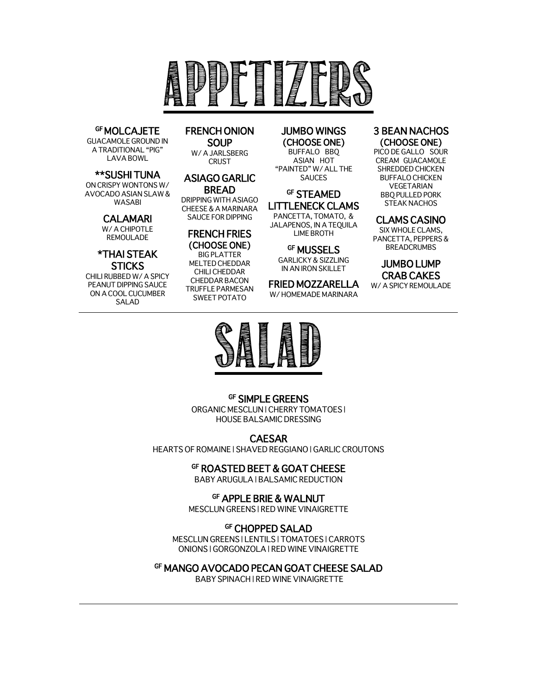

## **GF MOLCAJETE**<br>GUACAMOLE GROUND IN

A TRADITIONAL "PIG" LAVA BOWL

\*\*SUSHI TUNA

ON CRISPY WONTONS W/ AVOCADO ASIAN SLAW & WASABI

#### CALAMARI

W/ A CHIPOTLE REMOULADE

## \*THAI STEAK

**STICKS**<br>CHILI RUBBED W/ A SPICY PEANUT DIPPING SAUCE ON A COOL CUCUMBER SALAD

## FRENCH ONION **SOUP**<br>W/A JARLSBERG

CRUST

#### ASIAGO GARLIC BREAD

DRIPPING WITH ASIAGO CHEESE & A MARINARA SAUCE FOR DIPPING

#### FRENCH FRIES (CHOOSE ONE)

BIG PLATTER MELTED CHEDDAR CHILI CHEDDAR CHEDDAR BACON TRUFFLE PARMESAN SWEET POTATO

## JUMBO WINGS

(CHOOSE ONE) BUFFALO BBQ ASIAN HOT "PAINTED" W/ ALL THE SAUCES

#### GF STEAMED LITTLENECK CLAMS PANCETTA, TOMATO, & JALAPENOS, IN A TEQUILA

LIME BROTH

**GF MUSSELS** GARLICKY & SIZZLING IN AN IRON SKILLET

FRIED MOZZARELLA W/ HOMEMADE MARINARA

#### 3 BEAN NACHOS (CHOOSE ONE)

PICO DE GALLO SOUR CREAM GUACAMOLE SHREDDED CHICKEN BUFFALO CHICKEN VEGETARIAN BBQ PULLED PORK STEAK NACHOS

#### CLAMS CASINO

SIX WHOLE CLAMS, PANCETTA, PEPPERS & BREADCRUMBS

#### JUMBO LUMP CRAB CAKES

W/ A SPICY REMOULADE



#### GF SIMPLE GREENS

ORGANIC MESCLUN | CHERRY TOMATOES | HOUSE BALSAMIC DRESSING

CAESAR

HEARTS OF ROMAINE | SHAVED REGGIANO | GARLIC CROUTONS

#### GF ROASTED BEET & GOAT CHEESE

BABY ARUGULA | BALSAMIC REDUCTION

#### GF APPLE BRIE & WALNUT

MESCLUN GREENS | RED WINE VINAIGRETTE

#### GF CHOPPED SALAD

MESCLUN GREENS | LENTILS | TOMATOES | CARROTS ONIONS | GORGONZOLA | RED WINE VINAIGRETTE

#### GF MANGO AVOCADO PECAN GOAT CHEESE SALAD

BABY SPINACH | RED WINE VINAIGRETTE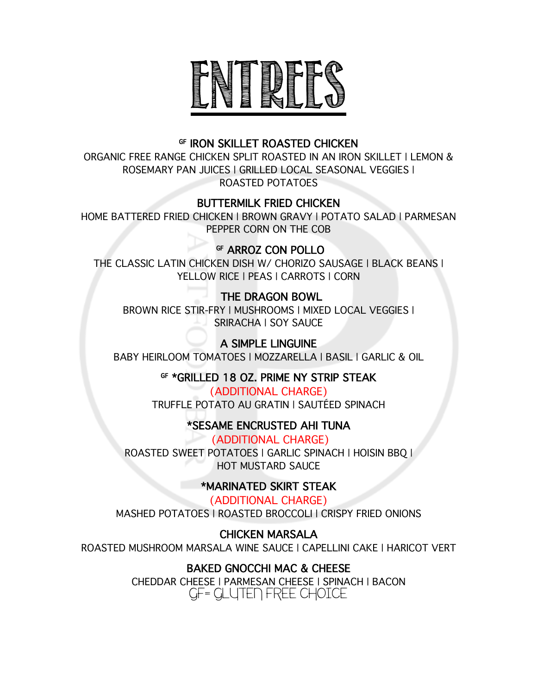

## GF IRON SKILLET ROASTED CHICKEN

ORGANIC FREE RANGE CHICKEN SPLIT ROASTED IN AN IRON SKILLET | LEMON & ROSEMARY PAN JUICES | GRILLED LOCAL SEASONAL VEGGIES | ROASTED POTATOES

#### BUTTERMILK FRIED CHICKEN

HOME BATTERED FRIED CHICKEN | BROWN GRAVY | POTATO SALAD | PARMESAN PEPPER CORN ON THE COB

## GF ARROZ CON POLLO

THE CLASSIC LATIN CHICKEN DISH W/ CHORIZO SAUSAGE | BLACK BEANS | YELLOW RICE | PEAS | CARROTS | CORN

## THE DRAGON BOWL

BROWN RICE STIR-FRY | MUSHROOMS | MIXED LOCAL VEGGIES | SRIRACHA | SOY SAUCE

A SIMPLE LINGUINE BABY HEIRLOOM TOMATOES | MOZZARELLA | BASIL | GARLIC & OIL

GF \*GRILLED 18 OZ. PRIME NY STRIP STEAK

(ADDITIONAL CHARGE) TRUFFLE POTATO AU GRATIN | SAUTÉED SPINACH

## \*SESAME ENCRUSTED AHI TUNA

(ADDITIONAL CHARGE) ROASTED SWEET POTATOES | GARLIC SPINACH | HOISIN BBQ | HOT MUSTARD SAUCE

## \*MARINATED SKIRT STEAK

(ADDITIONAL CHARGE) MASHED POTATOES | ROASTED BROCCOLI | CRISPY FRIED ONIONS

## CHICKEN MARSALA

ROASTED MUSHROOM MARSALA WINE SAUCE | CAPELLINI CAKE | HARICOT VERT

## BAKED GNOCCHI MAC & CHEESE

CHEDDAR CHEESE | PARMESAN CHEESE | SPINACH | BACON GF= GLUTEN FREE CHOICE